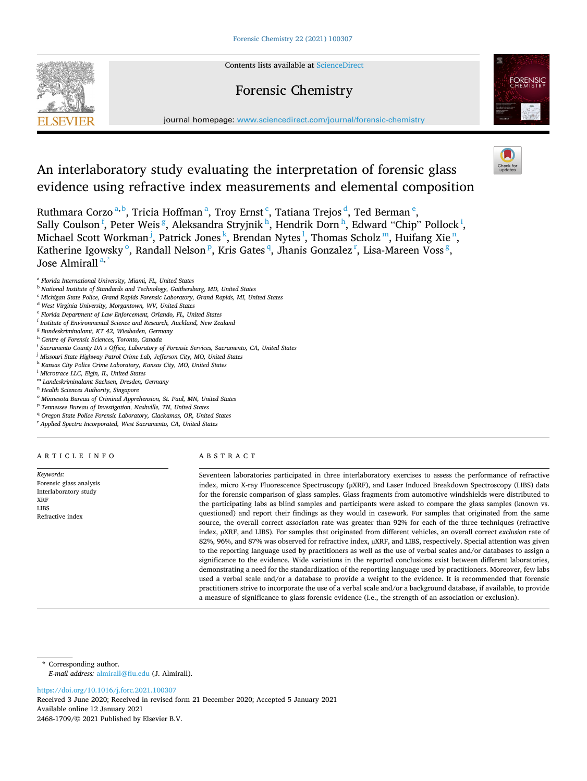Contents lists available at [ScienceDirect](www.sciencedirect.com/science/journal/24681709)

Forensic Chemistry

# **SEVIER**



journal homepage: [www.sciencedirect.com/journal/forensic-chemistry](https://www.sciencedirect.com/journal/forensic-chemistry)

# An interlaboratory study evaluating the interpretation of forensic glass evidence using refractive index measurements and elemental composition

Ruthmara Corzo<sup>a, b</sup>, Tricia Hoffman<sup>a</sup>, Troy Ernst<sup>c</sup>, Tatiana Trejos<sup>d</sup>, Ted Berman<sup>e</sup>, Sally Coulson<sup>f</sup>, Peter Weis<sup>g</sup>, Aleksandra Stryjnik<sup>h</sup>, Hendrik Dorn<sup>h</sup>, Edward "Chip" Pollock<sup>i</sup>, Michael Scott Workman<sup>j</sup>, Patrick Jones<sup>k</sup>, Brendan Nytes<sup>l</sup>, Thomas Scholz<sup>m</sup>, Huifang Xie<sup>n</sup>, Katherine Igowsky  $^{\rm o}$ , Randall Nelson  $^{\rm p}$ , Kris Gates <sup>q</sup>, Jhanis Gonzalez <sup>r</sup>, Lisa-Mareen Voss <sup>g</sup>, Jose Almirall<sup>a,</sup>

<sup>c</sup> *Michigan State Police, Grand Rapids Forensic Laboratory, Grand Rapids, MI, United States* 

- <sup>e</sup> *Florida Department of Law Enforcement, Orlando, FL, United States*
- <sup>f</sup> *Institute of Environmental Science and Research, Auckland, New Zealand*
- <sup>g</sup> *Bundeskriminalamt, KT 42, Wiesbaden, Germany*
- <sup>h</sup> *Centre of Forensic Sciences, Toronto, Canada*
- <sup>i</sup> *Sacramento County DA's Office, Laboratory of Forensic Services, Sacramento, CA, United States*
- <sup>j</sup> *Missouri State Highway Patrol Crime Lab, Jefferson City, MO, United States*
- <sup>k</sup> *Kansas City Police Crime Laboratory, Kansas City, MO, United States*
- <sup>l</sup> *Microtrace LLC, Elgin, IL, United States*
- <sup>m</sup> *Landeskriminalamt Sachsen, Dresden, Germany*
- <sup>n</sup> *Health Sciences Authority, Singapore*
- <sup>o</sup> *Minnesota Bureau of Criminal Apprehension, St. Paul, MN, United States*
- <sup>p</sup> *Tennessee Bureau of Investigation, Nashville, TN, United States*
- <sup>q</sup> Oregon State Police Forensic Laboratory, Clackamas, OR, United States
- <sup>r</sup> *Applied Spectra Incorporated, West Sacramento, CA, United States*

#### ARTICLE INFO

Forensic glass analysis Interlaboratory study XRF LIBS Refractive index

*Keywords:* 

# ABSTRACT

Seventeen laboratories participated in three interlaboratory exercises to assess the performance of refractive index, micro X-ray Fluorescence Spectroscopy (µXRF), and Laser Induced Breakdown Spectroscopy (LIBS) data for the forensic comparison of glass samples. Glass fragments from automotive windshields were distributed to the participating labs as blind samples and participants were asked to compare the glass samples (known vs. questioned) and report their findings as they would in casework. For samples that originated from the same source, the overall correct *association* rate was greater than 92% for each of the three techniques (refractive index, µXRF, and LIBS). For samples that originated from different vehicles, an overall correct *exclusion* rate of 82%, 96%, and 87% was observed for refractive index, µXRF, and LIBS, respectively. Special attention was given to the reporting language used by practitioners as well as the use of verbal scales and/or databases to assign a significance to the evidence. Wide variations in the reported conclusions exist between different laboratories, demonstrating a need for the standardization of the reporting language used by practitioners. Moreover, few labs used a verbal scale and/or a database to provide a weight to the evidence. It is recommended that forensic practitioners strive to incorporate the use of a verbal scale and/or a background database, if available, to provide a measure of significance to glass forensic evidence (i.e., the strength of an association or exclusion).

\* Corresponding author. *E-mail address:* [almirall@fiu.edu](mailto:almirall@fiu.edu) (J. Almirall).

<https://doi.org/10.1016/j.forc.2021.100307>

Available online 12 January 2021 2468-1709/© 2021 Published by Elsevier B.V. Received 3 June 2020; Received in revised form 21 December 2020; Accepted 5 January 2021

<sup>a</sup> *Florida International University, Miami, FL, United States* 

<sup>b</sup> *National Institute of Standards and Technology, Gaithersburg, MD, United States* 

<sup>d</sup> *West Virginia University, Morgantown, WV, United States*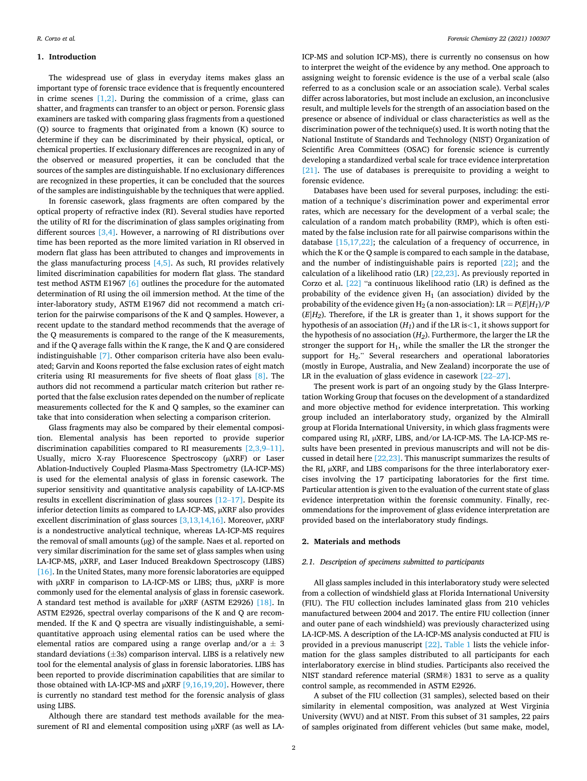#### **1. Introduction**

The widespread use of glass in everyday items makes glass an important type of forensic trace evidence that is frequently encountered in crime scenes  $[1,2]$ . During the commission of a crime, glass can shatter, and fragments can transfer to an object or person. Forensic glass examiners are tasked with comparing glass fragments from a questioned (Q) source to fragments that originated from a known (K) source to determine if they can be discriminated by their physical, optical, or chemical properties. If exclusionary differences are recognized in any of the observed or measured properties, it can be concluded that the sources of the samples are distinguishable. If no exclusionary differences are recognized in these properties, it can be concluded that the sources of the samples are indistinguishable by the techniques that were applied.

In forensic casework, glass fragments are often compared by the optical property of refractive index (RI). Several studies have reported the utility of RI for the discrimination of glass samples originating from different sources [\[3,4\]](#page-8-0). However, a narrowing of RI distributions over time has been reported as the more limited variation in RI observed in modern flat glass has been attributed to changes and improvements in the glass manufacturing process  $[4,5]$ . As such, RI provides relatively limited discrimination capabilities for modern flat glass. The standard test method ASTM E1967 [\[6\]](#page-8-0) outlines the procedure for the automated determination of RI using the oil immersion method. At the time of the inter-laboratory study, ASTM E1967 did not recommend a match criterion for the pairwise comparisons of the K and Q samples. However, a recent update to the standard method recommends that the average of the Q measurements is compared to the range of the K measurements, and if the Q average falls within the K range, the K and Q are considered indistinguishable [\[7\].](#page-8-0) Other comparison criteria have also been evaluated; Garvin and Koons reported the false exclusion rates of eight match criteria using RI measurements for five sheets of float glass [\[8\].](#page-8-0) The authors did not recommend a particular match criterion but rather reported that the false exclusion rates depended on the number of replicate measurements collected for the K and Q samples, so the examiner can take that into consideration when selecting a comparison criterion.

Glass fragments may also be compared by their elemental composition. Elemental analysis has been reported to provide superior discrimination capabilities compared to RI measurements [\[2,3,9](#page-8-0)–11]. Usually, micro X-ray Fluorescence Spectroscopy (µXRF) or Laser Ablation-Inductively Coupled Plasma-Mass Spectrometry (LA-ICP-MS) is used for the elemental analysis of glass in forensic casework. The superior sensitivity and quantitative analysis capability of LA-ICP-MS results in excellent discrimination of glass sources [12–[17\].](#page-8-0) Despite its inferior detection limits as compared to LA-ICP-MS, µXRF also provides excellent discrimination of glass sources  $[3,13,14,16]$ . Moreover,  $\mu$ XRF is a nondestructive analytical technique, whereas LA-ICP-MS requires the removal of small amounts (µg) of the sample. Naes et al. reported on very similar discrimination for the same set of glass samples when using LA-ICP-MS,  $\mu$ XRF, and Laser Induced Breakdown Spectroscopy (LIBS) [\[16\]](#page-8-0). In the United States, many more forensic laboratories are equipped with μXRF in comparison to LA-ICP-MS or LIBS; thus, μXRF is more commonly used for the elemental analysis of glass in forensic casework. A standard test method is available for  $\mu$ XRF (ASTM E2926) [\[18\]](#page-8-0). In ASTM E2926, spectral overlay comparisons of the K and Q are recommended. If the K and Q spectra are visually indistinguishable, a semiquantitative approach using elemental ratios can be used where the elemental ratios are compared using a range overlap and/or  $a \pm 3$ standard deviations  $(\pm 3s)$  comparison interval. LIBS is a relatively new tool for the elemental analysis of glass in forensic laboratories. LIBS has been reported to provide discrimination capabilities that are similar to those obtained with LA-ICP-MS and µXRF [\[9,16,19,20\]](#page-8-0). However, there is currently no standard test method for the forensic analysis of glass using LIBS.

Although there are standard test methods available for the measurement of RI and elemental composition using µXRF (as well as LA-

ICP-MS and solution ICP-MS), there is currently no consensus on how to interpret the weight of the evidence by any method. One approach to assigning weight to forensic evidence is the use of a verbal scale (also referred to as a conclusion scale or an association scale). Verbal scales differ across laboratories, but most include an exclusion, an inconclusive result, and multiple levels for the strength of an association based on the presence or absence of individual or class characteristics as well as the discrimination power of the technique(s) used. It is worth noting that the National Institute of Standards and Technology (NIST) Organization of Scientific Area Committees (OSAC) for forensic science is currently developing a standardized verbal scale for trace evidence interpretation [\[21\]](#page-8-0). The use of databases is prerequisite to providing a weight to forensic evidence.

Databases have been used for several purposes, including: the estimation of a technique's discrimination power and experimental error rates, which are necessary for the development of a verbal scale; the calculation of a random match probability (RMP), which is often estimated by the false inclusion rate for all pairwise comparisons within the database  $[15,17,22]$ ; the calculation of a frequency of occurrence, in which the K or the Q sample is compared to each sample in the database, and the number of indistinguishable pairs is reported [\[22\];](#page-8-0) and the calculation of a likelihood ratio (LR) [\[22,23\]](#page-8-0). As previously reported in Corzo et al. [\[22\]](#page-8-0) "a continuous likelihood ratio (LR) is defined as the probability of the evidence given  $H_1$  (an association) divided by the probability of the evidence given  $H_2$  (a non-association):  $LR = P(E|H_1)/P$  $(E|H_2)$ . Therefore, if the LR is greater than 1, it shows support for the hypothesis of an association (*H1*) and if the LR is*<*1, it shows support for the hypothesis of no association (*H2*). Furthermore, the larger the LR the stronger the support for  $H_1$ , while the smaller the LR the stronger the support for  $H_2$ ." Several researchers and operational laboratories (mostly in Europe, Australia, and New Zealand) incorporate the use of LR in the evaluation of glass evidence in casework [\[22](#page-8-0)–27].

The present work is part of an ongoing study by the Glass Interpretation Working Group that focuses on the development of a standardized and more objective method for evidence interpretation. This working group included an interlaboratory study, organized by the Almirall group at Florida International University, in which glass fragments were compared using RI, µXRF, LIBS, and/or LA-ICP-MS. The LA-ICP-MS results have been presented in previous manuscripts and will not be discussed in detail here [\[22,23\].](#page-8-0) This manuscript summarizes the results of the RI, µXRF, and LIBS comparisons for the three interlaboratory exercises involving the 17 participating laboratories for the first time. Particular attention is given to the evaluation of the current state of glass evidence interpretation within the forensic community. Finally, recommendations for the improvement of glass evidence interpretation are provided based on the interlaboratory study findings.

# **2. Materials and methods**

#### *2.1. Description of specimens submitted to participants*

All glass samples included in this interlaboratory study were selected from a collection of windshield glass at Florida International University (FIU). The FIU collection includes laminated glass from 210 vehicles manufactured between 2004 and 2017. The entire FIU collection (inner and outer pane of each windshield) was previously characterized using LA-ICP-MS. A description of the LA-ICP-MS analysis conducted at FIU is provided in a previous manuscript [\[22\].](#page-8-0) [Table 1](#page-2-0) lists the vehicle information for the glass samples distributed to all participants for each interlaboratory exercise in blind studies. Participants also received the NIST standard reference material (SRM®) 1831 to serve as a quality control sample, as recommended in ASTM E2926.

A subset of the FIU collection (31 samples), selected based on their similarity in elemental composition, was analyzed at West Virginia University (WVU) and at NIST. From this subset of 31 samples, 22 pairs of samples originated from different vehicles (but same make, model,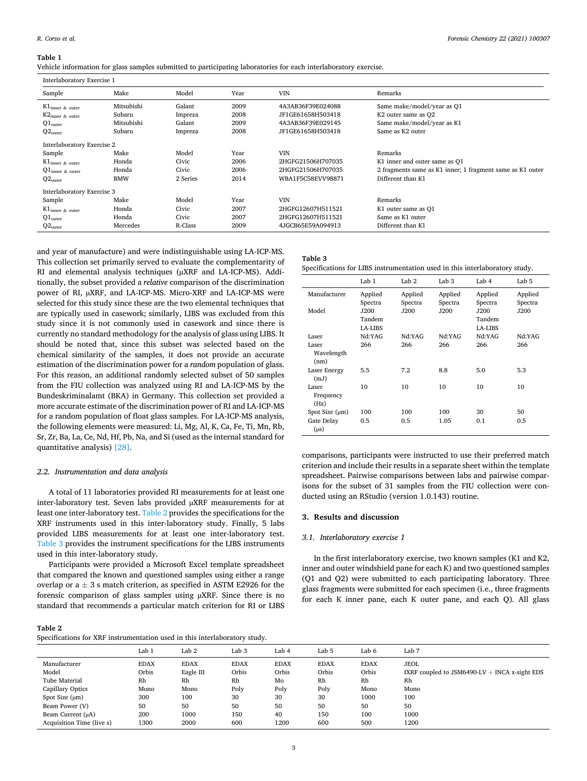<span id="page-2-0"></span>**Table 1** 

Vehicle information for glass samples submitted to participating laboratories for each interlaboratory exercise.

| Interlaboratory Exercise 1 |            |          |      |                   |                                                           |
|----------------------------|------------|----------|------|-------------------|-----------------------------------------------------------|
| Sample                     | Make       | Model    | Year | <b>VIN</b>        | Remarks                                                   |
| $K1_{inner \& outer}$      | Mitsubishi | Galant   | 2009 | 4A3AB36F39E024088 | Same make/model/year as Q1                                |
| $K2$ inner & outer         | Subaru     | Impreza  | 2008 | JF1GE61658H503418 | K2 outer same as Q2                                       |
| $Q1_{outer}$               | Mitsubishi | Galant   | 2009 | 4A3AB36F39E029145 | Same make/model/year as K1                                |
| $Q2_{outer}$               | Subaru     | Impreza  | 2008 | JF1GE61658H503418 | Same as K2 outer                                          |
| Interlaboratory Exercise 2 |            |          |      |                   |                                                           |
| Sample                     | Make       | Model    | Year | <b>VIN</b>        | Remarks                                                   |
| $K1_{inner \& outer}$      | Honda      | Civic    | 2006 | 2HGFG21506H707035 | K1 inner and outer same as Q1                             |
| $Q1_{inner \& outer}$      | Honda      | Civic    | 2006 | 2HGFG21506H707035 | 2 fragments same as K1 inner; 1 fragment same as K1 outer |
| $Q2_{outer}$               | <b>BMW</b> | 2 Series | 2014 | WBA1F5C58EVV98871 | Different than K1                                         |
| Interlaboratory Exercise 3 |            |          |      |                   |                                                           |
| Sample                     | Make       | Model    | Year | <b>VIN</b>        | Remarks                                                   |
| $K1$ inner & outer         | Honda      | Civic    | 2007 | 2HGFG12607H511521 | K1 outer same as Q1                                       |
| $Q1_{outer}$               | Honda      | Civic    | 2007 | 2HGFG12607H511521 | Same as K1 outer                                          |
| $Q2_{outer}$               | Mercedes   | R-Class  | 2009 | 4JGCB65E59A094913 | Different than K1                                         |

and year of manufacture) and were indistinguishable using LA-ICP-MS. This collection set primarily served to evaluate the complementarity of RI and elemental analysis techniques ( $\mu$ XRF and LA-ICP-MS). Additionally, the subset provided a *relative* comparison of the discrimination power of RI, µXRF, and LA-ICP-MS. Micro-XRF and LA-ICP-MS were selected for this study since these are the two elemental techniques that are typically used in casework; similarly, LIBS was excluded from this study since it is not commonly used in casework and since there is currently no standard methodology for the analysis of glass using LIBS. It should be noted that, since this subset was selected based on the chemical similarity of the samples, it does not provide an accurate estimation of the discrimination power for a *random* population of glass. For this reason, an additional randomly selected subset of 50 samples from the FIU collection was analyzed using RI and LA-ICP-MS by the Bundeskriminalamt (BKA) in Germany. This collection set provided a more accurate estimate of the discrimination power of RI and LA-ICP-MS for a random population of float glass samples. For LA-ICP-MS analysis, the following elements were measured: Li, Mg, Al, K, Ca, Fe, Ti, Mn, Rb, Sr, Zr, Ba, La, Ce, Nd, Hf, Pb, Na, and Si (used as the internal standard for quantitative analysis) [\[28\].](#page-8-0)

# *2.2. Instrumentation and data analysis*

A total of 11 laboratories provided RI measurements for at least one inter-laboratory test. Seven labs provided µXRF measurements for at least one inter-laboratory test. Table 2 provides the specifications for the XRF instruments used in this inter-laboratory study. Finally, 5 labs provided LIBS measurements for at least one inter-laboratory test. Table 3 provides the instrument specifications for the LIBS instruments used in this inter-laboratory study.

Participants were provided a Microsoft Excel template spreadsheet that compared the known and questioned samples using either a range overlap or  $a \pm 3$  s match criterion, as specified in ASTM E2926 for the forensic comparison of glass samples using µXRF. Since there is no standard that recommends a particular match criterion for RI or LIBS

# **Table 2**

| Specifications for XRF instrumentation used in this interlaboratory study. |  |  |  |
|----------------------------------------------------------------------------|--|--|--|
|----------------------------------------------------------------------------|--|--|--|

# **Table 3**

|  |  |  | Specifications for LIBS instrumentation used in this interlaboratory study. |
|--|--|--|-----------------------------------------------------------------------------|
|--|--|--|-----------------------------------------------------------------------------|

|                             | Lab 1                     | Lab <sub>2</sub>   | Lab <sub>3</sub>   | Lab 4                            | Lab <sub>5</sub>   |
|-----------------------------|---------------------------|--------------------|--------------------|----------------------------------|--------------------|
| Manufacturer                | Applied<br>Spectra        | Applied<br>Spectra | Applied<br>Spectra | Applied<br>Spectra               | Applied<br>Spectra |
| Model                       | J200<br>Tandem<br>LA-LIBS | J200               | J200               | J200<br>Tandem<br><b>LA-LIBS</b> | J200               |
| Laser                       | Nd:YAG                    | Nd:YAG             | Nd:YAG             | Nd:YAG                           | Nd:YAG             |
| Laser<br>Wavelength<br>(nm) | 266                       | 266                | 266                | 266                              | 266                |
| <b>Laser Energy</b><br>(mJ) | 5.5                       | 7.2                | 8.8                | 5.0                              | 5.3                |
| Laser<br>Frequency<br>(Hz)  | 10                        | 10                 | 10                 | 10                               | 10                 |
| Spot Size $(\mu m)$         | 100                       | 100                | 100                | 30                               | 50                 |
| Gate Delay<br>$(\mu s)$     | 0.5                       | 0.5                | 1.05               | 0.1                              | 0.5                |

comparisons, participants were instructed to use their preferred match criterion and include their results in a separate sheet within the template spreadsheet. Pairwise comparisons between labs and pairwise comparisons for the subset of 31 samples from the FIU collection were conducted using an RStudio (version 1.0.143) routine.

#### **3. Results and discussion**

#### *3.1. Interlaboratory exercise 1*

In the first interlaboratory exercise, two known samples (K1 and K2, inner and outer windshield pane for each K) and two questioned samples (Q1 and Q2) were submitted to each participating laboratory. Three glass fragments were submitted for each specimen (i.e., three fragments for each K inner pane, each K outer pane, and each Q). All glass

|                           | Lab 1                | Lab <sub>2</sub>         | Lab <sub>3</sub>     | Lab 4                | Lab 5                | Lab 6                | Lab 7                                                          |
|---------------------------|----------------------|--------------------------|----------------------|----------------------|----------------------|----------------------|----------------------------------------------------------------|
| Manufacturer<br>Model     | <b>EDAX</b><br>Orbis | <b>EDAX</b><br>Eagle III | <b>EDAX</b><br>Orbis | <b>EDAX</b><br>Orbis | <b>EDAX</b><br>Orbis | <b>EDAX</b><br>Orbis | <b>JEOL</b><br>IXRF coupled to JSM6490-LV $+$ INCA x-sight EDS |
| Tube Material             | Rh                   | Rh                       | Rh                   | Mo                   | Rh                   | Rh                   | Rh                                                             |
| <b>Capillary Optics</b>   | Mono                 | Mono                     | Poly                 | Poly                 | Poly                 | Mono                 | Mono                                                           |
| Spot Size $(\mu m)$       | 300                  | 100                      | 30                   | 30                   | 30                   | 1000                 | 100                                                            |
| Beam Power (V)            | 50                   | 50                       | 50                   | 50                   | 50                   | 50                   | 50                                                             |
| Beam Current (µA)         | 200                  | 1000                     | 150                  | 40                   | 150                  | 100                  | 1000                                                           |
| Acquisition Time (live s) | 1300                 | 2000                     | 600                  | 1200                 | 600                  | 500                  | 1200                                                           |
|                           |                      |                          |                      |                      |                      |                      |                                                                |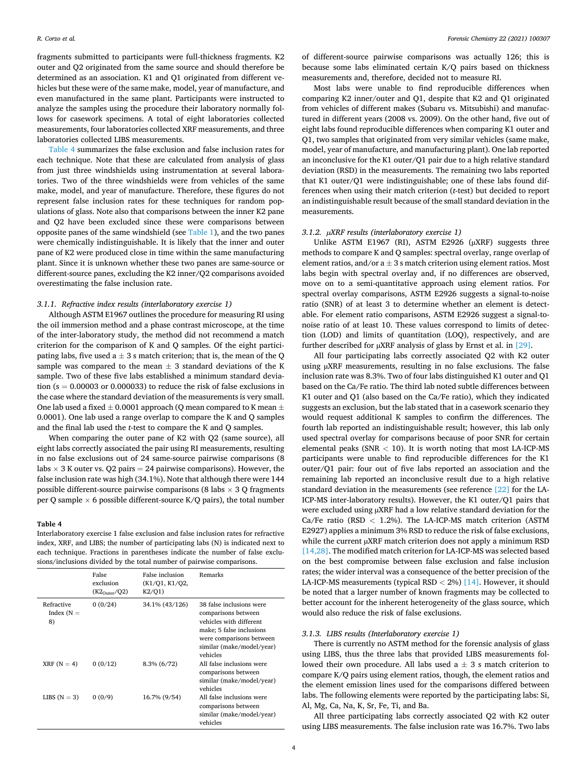fragments submitted to participants were full-thickness fragments. K2 outer and Q2 originated from the same source and should therefore be determined as an association. K1 and Q1 originated from different vehicles but these were of the same make, model, year of manufacture, and even manufactured in the same plant. Participants were instructed to analyze the samples using the procedure their laboratory normally follows for casework specimens. A total of eight laboratories collected measurements, four laboratories collected XRF measurements, and three laboratories collected LIBS measurements.

Table 4 summarizes the false exclusion and false inclusion rates for each technique. Note that these are calculated from analysis of glass from just three windshields using instrumentation at several laboratories. Two of the three windshields were from vehicles of the same make, model, and year of manufacture. Therefore, these figures do not represent false inclusion rates for these techniques for random populations of glass. Note also that comparisons between the inner K2 pane and Q2 have been excluded since these were comparisons between opposite panes of the same windshield (see [Table 1](#page-2-0)), and the two panes were chemically indistinguishable. It is likely that the inner and outer pane of K2 were produced close in time within the same manufacturing plant. Since it is unknown whether these two panes are same-source or different-source panes, excluding the K2 inner/Q2 comparisons avoided overestimating the false inclusion rate.

#### *3.1.1. Refractive index results (interlaboratory exercise 1)*

Although ASTM E1967 outlines the procedure for measuring RI using the oil immersion method and a phase contrast microscope, at the time of the inter-laboratory study, the method did not recommend a match criterion for the comparison of K and Q samples. Of the eight participating labs, five used a  $\pm$  3 s match criterion; that is, the mean of the Q sample was compared to the mean  $\pm$  3 standard deviations of the K sample. Two of these five labs established a minimum standard deviation ( $s = 0.00003$  or 0.000033) to reduce the risk of false exclusions in the case where the standard deviation of the measurements is very small. One lab used a fixed  $\pm$  0.0001 approach (Q mean compared to K mean  $\pm$ 0.0001). One lab used a range overlap to compare the K and Q samples and the final lab used the *t*-test to compare the K and Q samples.

When comparing the outer pane of K2 with Q2 (same source), all eight labs correctly associated the pair using RI measurements, resulting in no false exclusions out of 24 same-source pairwise comparisons (8 labs  $\times$  3 K outer vs. Q2 pairs = 24 pairwise comparisons). However, the false inclusion rate was high (34.1%). Note that although there were 144 possible different-source pairwise comparisons (8 labs  $\times$  3 Q fragments per Q sample  $\times$  6 possible different-source K/Q pairs), the total number

#### **Table 4**

Interlaboratory exercise 1 false exclusion and false inclusion rates for refractive index, XRF, and LIBS; the number of participating labs (N) is indicated next to each technique. Fractions in parentheses indicate the number of false exclusions/inclusions divided by the total number of pairwise comparisons.

|                                  | False<br>exclusion<br>$(K2_{\text{Outer}}/Q2)$ | False inclusion<br>(K1/Q1, K1/Q2,<br>K2/01 | Remarks                                                                                                                                                                     |
|----------------------------------|------------------------------------------------|--------------------------------------------|-----------------------------------------------------------------------------------------------------------------------------------------------------------------------------|
| Refractive<br>Index $(N =$<br>8) | 0(0/24)                                        | 34.1% (43/126)                             | 38 false inclusions were<br>comparisons between<br>vehicles with different<br>make; 5 false inclusions<br>were comparisons between<br>similar (make/model/year)<br>vehicles |
| $XRF(N = 4)$                     | 0(0/12)                                        | 8.3% (6/72)                                | All false inclusions were<br>comparisons between<br>similar (make/model/year)<br>vehicles                                                                                   |
| LIBS $(N = 3)$                   | 0(0/9)                                         | 16.7% (9/54)                               | All false inclusions were<br>comparisons between<br>similar (make/model/year)<br>vehicles                                                                                   |

of different-source pairwise comparisons was actually 126; this is because some labs eliminated certain K/Q pairs based on thickness measurements and, therefore, decided not to measure RI.

Most labs were unable to find reproducible differences when comparing K2 inner/outer and Q1, despite that K2 and Q1 originated from vehicles of different makes (Subaru vs. Mitsubishi) and manufactured in different years (2008 vs. 2009). On the other hand, five out of eight labs found reproducible differences when comparing K1 outer and Q1, two samples that originated from very similar vehicles (same make, model, year of manufacture, and manufacturing plant). One lab reported an inconclusive for the K1 outer/Q1 pair due to a high relative standard deviation (RSD) in the measurements. The remaining two labs reported that K1 outer/Q1 were indistinguishable; one of these labs found differences when using their match criterion (*t*-test) but decided to report an indistinguishable result because of the small standard deviation in the measurements.

# *3.1.2. µXRF results (interlaboratory exercise 1)*

Unlike ASTM E1967 (RI), ASTM E2926 (µXRF) suggests three methods to compare K and Q samples: spectral overlay, range overlap of element ratios, and/or  $a \pm 3$  s match criterion using element ratios. Most labs begin with spectral overlay and, if no differences are observed, move on to a semi-quantitative approach using element ratios. For spectral overlay comparisons, ASTM E2926 suggests a signal-to-noise ratio (SNR) of at least 3 to determine whether an element is detectable. For element ratio comparisons, ASTM E2926 suggest a signal-tonoise ratio of at least 10. These values correspond to limits of detection (LOD) and limits of quantitation (LOQ), respectively, and are further described for µXRF analysis of glass by Ernst et al. in [\[29\].](#page-8-0)

All four participating labs correctly associated Q2 with K2 outer using µXRF measurements, resulting in no false exclusions. The false inclusion rate was 8.3%. Two of four labs distinguished K1 outer and Q1 based on the Ca/Fe ratio. The third lab noted subtle differences between K1 outer and Q1 (also based on the Ca/Fe ratio), which they indicated suggests an exclusion, but the lab stated that in a casework scenario they would request additional K samples to confirm the differences. The fourth lab reported an indistinguishable result; however, this lab only used spectral overlay for comparisons because of poor SNR for certain elemental peaks (SNR *<* 10). It is worth noting that most LA-ICP-MS participants were unable to find reproducible differences for the K1 outer/Q1 pair: four out of five labs reported an association and the remaining lab reported an inconclusive result due to a high relative standard deviation in the measurements (see reference [\[22\]](#page-8-0) for the LA-ICP-MS inter-laboratory results). However, the K1 outer/Q1 pairs that were excluded using  $\mu$ XRF had a low relative standard deviation for the Ca/Fe ratio (RSD *<* 1.2%). The LA-ICP-MS match criterion (ASTM E2927) applies a minimum 3% RSD to reduce the risk of false exclusions, while the current  $\mu$ XRF match criterion does not apply a minimum RSD [\[14,28\].](#page-8-0) The modified match criterion for LA-ICP-MS was selected based on the best compromise between false exclusion and false inclusion rates; the wider interval was a consequence of the better precision of the LA-ICP-MS measurements (typical RSD *<* 2%) [\[14\]](#page-8-0). However, it should be noted that a larger number of known fragments may be collected to better account for the inherent heterogeneity of the glass source, which would also reduce the risk of false exclusions.

#### *3.1.3. LIBS results (Interlaboratory exercise 1)*

There is currently no ASTM method for the forensic analysis of glass using LIBS, thus the three labs that provided LIBS measurements followed their own procedure. All labs used  $a \pm 3$  s match criterion to compare K/Q pairs using element ratios, though, the element ratios and the element emission lines used for the comparisons differed between labs. The following elements were reported by the participating labs: Si, Al, Mg, Ca, Na, K, Sr, Fe, Ti, and Ba.

All three participating labs correctly associated Q2 with K2 outer using LIBS measurements. The false inclusion rate was 16.7%. Two labs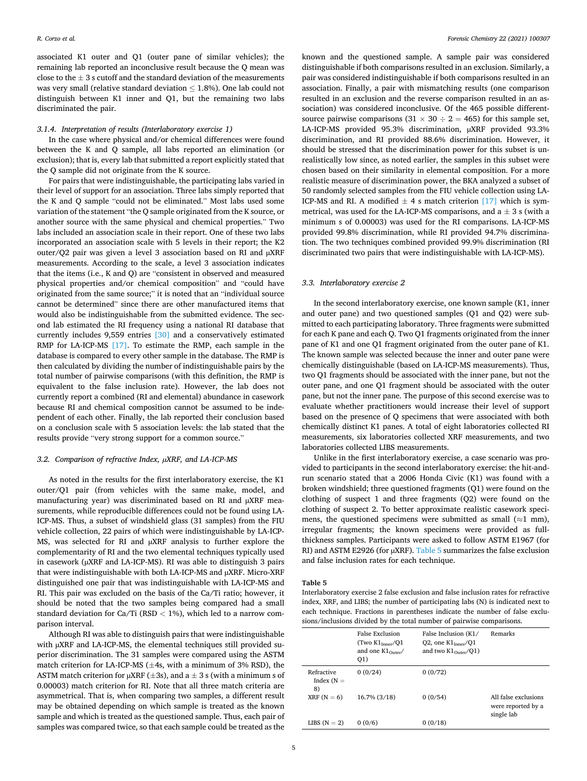associated K1 outer and Q1 (outer pane of similar vehicles); the remaining lab reported an inconclusive result because the Q mean was close to the  $\pm$  3 s cutoff and the standard deviation of the measurements was very small (relative standard deviation  $\leq$  1.8%). One lab could not distinguish between K1 inner and Q1, but the remaining two labs discriminated the pair.

#### *3.1.4. Interpretation of results (Interlaboratory exercise 1)*

In the case where physical and/or chemical differences were found between the K and Q sample, all labs reported an elimination (or exclusion); that is, every lab that submitted a report explicitly stated that the Q sample did not originate from the K source.

For pairs that were indistinguishable, the participating labs varied in their level of support for an association. Three labs simply reported that the K and Q sample "could not be eliminated." Most labs used some variation of the statement "the Q sample originated from the K source, or another source with the same physical and chemical properties." Two labs included an association scale in their report. One of these two labs incorporated an association scale with 5 levels in their report; the K2 outer/Q2 pair was given a level 3 association based on RI and µXRF measurements. According to the scale, a level 3 association indicates that the items (i.e., K and Q) are "consistent in observed and measured physical properties and/or chemical composition" and "could have originated from the same source;" it is noted that an "individual source cannot be determined" since there are other manufactured items that would also be indistinguishable from the submitted evidence. The second lab estimated the RI frequency using a national RI database that currently includes 9,559 entries [\[30\]](#page-8-0) and a conservatively estimated RMP for LA-ICP-MS [\[17\]](#page-8-0). To estimate the RMP, each sample in the database is compared to every other sample in the database. The RMP is then calculated by dividing the number of indistinguishable pairs by the total number of pairwise comparisons (with this definition, the RMP is equivalent to the false inclusion rate). However, the lab does not currently report a combined (RI and elemental) abundance in casework because RI and chemical composition cannot be assumed to be independent of each other. Finally, the lab reported their conclusion based on a conclusion scale with 5 association levels: the lab stated that the results provide "very strong support for a common source."

# *3.2. Comparison of refractive Index, µXRF, and LA-ICP-MS*

As noted in the results for the first interlaboratory exercise, the K1 outer/Q1 pair (from vehicles with the same make, model, and manufacturing year) was discriminated based on RI and µXRF measurements, while reproducible differences could not be found using LA-ICP-MS. Thus, a subset of windshield glass (31 samples) from the FIU vehicle collection, 22 pairs of which were indistinguishable by LA-ICP-MS, was selected for RI and  $\mu$ XRF analysis to further explore the complementarity of RI and the two elemental techniques typically used in casework (µXRF and LA-ICP-MS). RI was able to distinguish 3 pairs that were indistinguishable with both LA-ICP-MS and µXRF. Micro-XRF distinguished one pair that was indistinguishable with LA-ICP-MS and RI. This pair was excluded on the basis of the Ca/Ti ratio; however, it should be noted that the two samples being compared had a small standard deviation for Ca/Ti (RSD *<* 1%), which led to a narrow comparison interval.

Although RI was able to distinguish pairs that were indistinguishable with µXRF and LA-ICP-MS, the elemental techniques still provided superior discrimination. The 31 samples were compared using the ASTM match criterion for LA-ICP-MS  $(\pm 4s, \text{ with a minimum of } 3\% \text{ RSD})$ , the ASTM match criterion for  $\mu$ XRF ( $\pm$ 3s), and a  $\pm$  3 s (with a minimum s of 0.00003) match criterion for RI. Note that all three match criteria are asymmetrical. That is, when comparing two samples, a different result may be obtained depending on which sample is treated as the known sample and which is treated as the questioned sample. Thus, each pair of samples was compared twice, so that each sample could be treated as the

known and the questioned sample. A sample pair was considered distinguishable if both comparisons resulted in an exclusion. Similarly, a pair was considered indistinguishable if both comparisons resulted in an association. Finally, a pair with mismatching results (one comparison resulted in an exclusion and the reverse comparison resulted in an association) was considered inconclusive. Of the 465 possible differentsource pairwise comparisons  $(31 \times 30 \div 2 = 465)$  for this sample set, LA-ICP-MS provided 95.3% discrimination, µXRF provided 93.3% discrimination, and RI provided 88.6% discrimination. However, it should be stressed that the discrimination power for this subset is unrealistically low since, as noted earlier, the samples in this subset were chosen based on their similarity in elemental composition. For a more realistic measure of discrimination power, the BKA analyzed a subset of 50 randomly selected samples from the FIU vehicle collection using LA-ICP-MS and RI. A modified  $\pm$  4 s match criterion [\[17\]](#page-8-0) which is symmetrical, was used for the LA-ICP-MS comparisons, and  $a \pm 3$  s (with a minimum s of 0.00003) was used for the RI comparisons. LA-ICP-MS provided 99.8% discrimination, while RI provided 94.7% discrimination. The two techniques combined provided 99.9% discrimination (RI discriminated two pairs that were indistinguishable with LA-ICP-MS).

#### *3.3. Interlaboratory exercise 2*

In the second interlaboratory exercise, one known sample (K1, inner and outer pane) and two questioned samples (Q1 and Q2) were submitted to each participating laboratory. Three fragments were submitted for each K pane and each Q. Two Q1 fragments originated from the inner pane of K1 and one Q1 fragment originated from the outer pane of K1. The known sample was selected because the inner and outer pane were chemically distinguishable (based on LA-ICP-MS measurements). Thus, two Q1 fragments should be associated with the inner pane, but not the outer pane, and one Q1 fragment should be associated with the outer pane, but not the inner pane. The purpose of this second exercise was to evaluate whether practitioners would increase their level of support based on the presence of Q specimens that were associated with both chemically distinct K1 panes. A total of eight laboratories collected RI measurements, six laboratories collected XRF measurements, and two laboratories collected LIBS measurements.

Unlike in the first interlaboratory exercise, a case scenario was provided to participants in the second interlaboratory exercise: the hit-andrun scenario stated that a 2006 Honda Civic (K1) was found with a broken windshield; three questioned fragments (Q1) were found on the clothing of suspect 1 and three fragments (Q2) were found on the clothing of suspect 2. To better approximate realistic casework specimens, the questioned specimens were submitted as small  $(\approx 1 \text{ mm})$ , irregular fragments; the known specimens were provided as fullthickness samples. Participants were asked to follow ASTM E1967 (for RI) and ASTM E2926 (for  $\mu$ XRF). Table 5 summarizes the false exclusion and false inclusion rates for each technique.

#### **Table 5**

Interlaboratory exercise 2 false exclusion and false inclusion rates for refractive index, XRF, and LIBS; the number of participating labs (N) is indicated next to each technique. Fractions in parentheses indicate the number of false exclusions/inclusions divided by the total number of pairwise comparisons.

|                                  | False Exclusion<br>(TwoK1 <sub>Inper</sub> /O1)<br>and one $K1_{\text{Outer}}/$<br>Q1) | False Inclusion (K1/<br>Q2, one $K1_{\text{inner}}/Q1$<br>and two $K1_{\text{Outer}}/Q1$ ) | Remarks                                                  |
|----------------------------------|----------------------------------------------------------------------------------------|--------------------------------------------------------------------------------------------|----------------------------------------------------------|
| Refractive<br>Index $(N =$<br>8) | 0(0/24)                                                                                | 0(0/72)                                                                                    |                                                          |
| $XRF(N = 6)$                     | 16.7% (3/18)                                                                           | 0(0/54)                                                                                    | All false exclusions<br>were reported by a<br>single lab |
| LIBS $(N = 2)$                   | 0(0/6)                                                                                 | 0(0/18)                                                                                    |                                                          |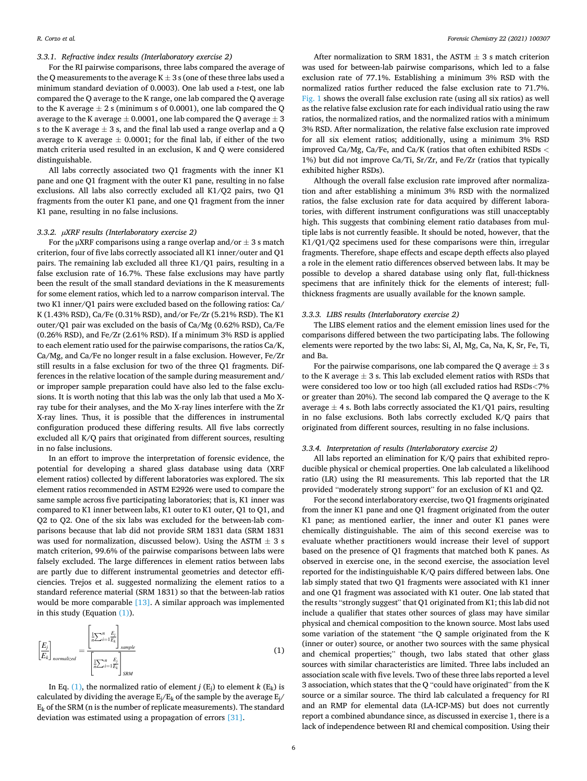# *3.3.1. Refractive index results (Interlaboratory exercise 2)*

For the RI pairwise comparisons, three labs compared the average of the Q measurements to the average  $K \pm 3$  s (one of these three labs used a minimum standard deviation of 0.0003). One lab used a *t*-test, one lab compared the Q average to the K range, one lab compared the Q average to the K average  $\pm 2$  s (minimum s of 0.0001), one lab compared the Q average to the K average  $\pm$  0.0001, one lab compared the Q average  $\pm$  3 s to the K average  $\pm$  3 s, and the final lab used a range overlap and a Q average to K average  $\pm$  0.0001; for the final lab, if either of the two match criteria used resulted in an exclusion, K and Q were considered distinguishable.

All labs correctly associated two Q1 fragments with the inner K1 pane and one Q1 fragment with the outer K1 pane, resulting in no false exclusions. All labs also correctly excluded all K1/Q2 pairs, two Q1 fragments from the outer K1 pane, and one Q1 fragment from the inner K1 pane, resulting in no false inclusions.

#### *3.3.2. µXRF results (Interlaboratory exercise 2)*

For the  $\mu$ XRF comparisons using a range overlap and/or  $\pm$  3 s match criterion, four of five labs correctly associated all K1 inner/outer and Q1 pairs. The remaining lab excluded all three K1/Q1 pairs, resulting in a false exclusion rate of 16.7%. These false exclusions may have partly been the result of the small standard deviations in the K measurements for some element ratios, which led to a narrow comparison interval. The two K1 inner/Q1 pairs were excluded based on the following ratios: Ca/ K (1.43% RSD), Ca/Fe (0.31% RSD), and/or Fe/Zr (5.21% RSD). The K1 outer/Q1 pair was excluded on the basis of Ca/Mg (0.62% RSD), Ca/Fe (0.26% RSD), and Fe/Zr (2.61% RSD). If a minimum 3% RSD is applied to each element ratio used for the pairwise comparisons, the ratios Ca/K, Ca/Mg, and Ca/Fe no longer result in a false exclusion. However, Fe/Zr still results in a false exclusion for two of the three Q1 fragments. Differences in the relative location of the sample during measurement and/ or improper sample preparation could have also led to the false exclusions. It is worth noting that this lab was the only lab that used a Mo Xray tube for their analyses, and the Mo X-ray lines interfere with the Zr X-ray lines. Thus, it is possible that the differences in instrumental configuration produced these differing results. All five labs correctly excluded all K/Q pairs that originated from different sources, resulting in no false inclusions.

In an effort to improve the interpretation of forensic evidence, the potential for developing a shared glass database using data (XRF element ratios) collected by different laboratories was explored. The six element ratios recommended in ASTM E2926 were used to compare the same sample across five participating laboratories; that is, K1 inner was compared to K1 inner between labs, K1 outer to K1 outer, Q1 to Q1, and Q2 to Q2. One of the six labs was excluded for the between-lab comparisons because that lab did not provide SRM 1831 data (SRM 1831 was used for normalization, discussed below). Using the ASTM  $\pm$  3 s match criterion, 99.6% of the pairwise comparisons between labs were falsely excluded. The large differences in element ratios between labs are partly due to different instrumental geometries and detector efficiencies. Trejos et al. suggested normalizing the element ratios to a standard reference material (SRM 1831) so that the between-lab ratios would be more comparable [\[13\]](#page-8-0). A similar approach was implemented in this study (Equation (1)).

$$
\left[\frac{E_j}{E_k}\right]_{normalized} = \frac{\left[\frac{1}{n}\sum_{i=1}^n \frac{E_j}{E_k}\right]_{sample}}{\left[\frac{1}{n}\sum_{i=1}^n \frac{E_j}{E_k}\right]_{SRM}}
$$
\n(1)

In Eq. (1), the normalized ratio of element *j*  $(E_i)$  to element *k*  $(E_k)$  is calculated by dividing the average  $E_i/E_k$  of the sample by the average  $E_i$  $E_k$  of the SRM (n is the number of replicate measurements). The standard deviation was estimated using a propagation of errors [\[31\]](#page-9-0).

After normalization to SRM 1831, the ASTM  $\pm$  3 s match criterion was used for between-lab pairwise comparisons, which led to a false exclusion rate of 77.1%. Establishing a minimum 3% RSD with the normalized ratios further reduced the false exclusion rate to 71.7%. [Fig. 1](#page-6-0) shows the overall false exclusion rate (using all six ratios) as well as the relative false exclusion rate for each individual ratio using the raw ratios, the normalized ratios, and the normalized ratios with a minimum 3% RSD. After normalization, the relative false exclusion rate improved for all six element ratios; additionally, using a minimum 3% RSD improved Ca/Mg, Ca/Fe, and Ca/K (ratios that often exhibited RSDs *<* 1%) but did not improve Ca/Ti, Sr/Zr, and Fe/Zr (ratios that typically exhibited higher RSDs).

Although the overall false exclusion rate improved after normalization and after establishing a minimum 3% RSD with the normalized ratios, the false exclusion rate for data acquired by different laboratories, with different instrument configurations was still unacceptably high. This suggests that combining element ratio databases from multiple labs is not currently feasible. It should be noted, however, that the K1/Q1/Q2 specimens used for these comparisons were thin, irregular fragments. Therefore, shape effects and escape depth effects also played a role in the element ratio differences observed between labs. It may be possible to develop a shared database using only flat, full-thickness specimens that are infinitely thick for the elements of interest; fullthickness fragments are usually available for the known sample.

#### *3.3.3. LIBS results (Interlaboratory exercise 2)*

The LIBS element ratios and the element emission lines used for the comparisons differed between the two participating labs. The following elements were reported by the two labs: Si, Al, Mg, Ca, Na, K, Sr, Fe, Ti, and Ba.

For the pairwise comparisons, one lab compared the Q average  $\pm$  3 s to the K average  $\pm$  3 s. This lab excluded element ratios with RSDs that were considered too low or too high (all excluded ratios had RSDs*<*7% or greater than 20%). The second lab compared the Q average to the K average  $\pm$  4 s. Both labs correctly associated the K1/Q1 pairs, resulting in no false exclusions. Both labs correctly excluded K/Q pairs that originated from different sources, resulting in no false inclusions.

#### *3.3.4. Interpretation of results (Interlaboratory exercise 2)*

All labs reported an elimination for K/Q pairs that exhibited reproducible physical or chemical properties. One lab calculated a likelihood ratio (LR) using the RI measurements. This lab reported that the LR provided "moderately strong support" for an exclusion of K1 and Q2.

For the second interlaboratory exercise, two Q1 fragments originated from the inner K1 pane and one Q1 fragment originated from the outer K1 pane; as mentioned earlier, the inner and outer K1 panes were chemically distinguishable. The aim of this second exercise was to evaluate whether practitioners would increase their level of support based on the presence of Q1 fragments that matched both K panes. As observed in exercise one, in the second exercise, the association level reported for the indistinguishable K/Q pairs differed between labs. One lab simply stated that two Q1 fragments were associated with K1 inner and one Q1 fragment was associated with K1 outer. One lab stated that the results "strongly suggest" that Q1 originated from K1; this lab did not include a qualifier that states other sources of glass may have similar physical and chemical composition to the known source. Most labs used some variation of the statement "the Q sample originated from the K (inner or outer) source, or another two sources with the same physical and chemical properties;" though, two labs stated that other glass sources with similar characteristics are limited. Three labs included an association scale with five levels. Two of these three labs reported a level 3 association, which states that the Q "could have originated" from the K source or a similar source. The third lab calculated a frequency for RI and an RMP for elemental data (LA-ICP-MS) but does not currently report a combined abundance since, as discussed in exercise 1, there is a lack of independence between RI and chemical composition. Using their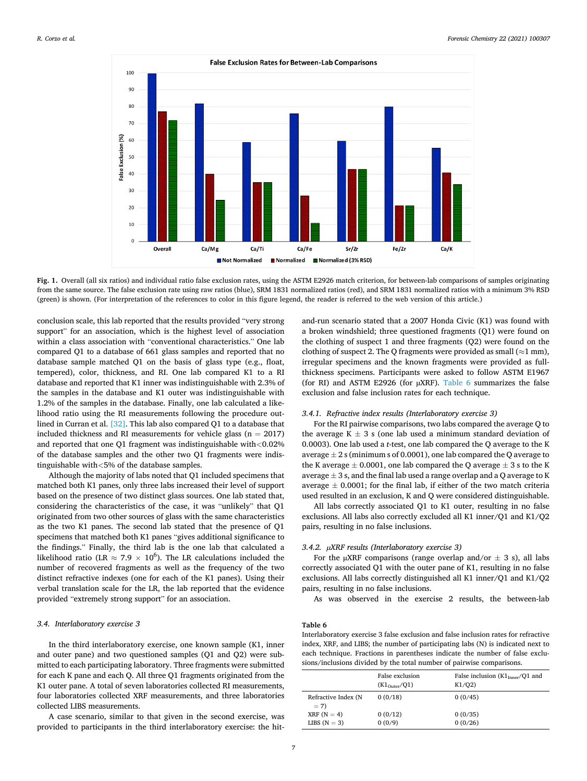<span id="page-6-0"></span>

**Fig. 1.** Overall (all six ratios) and individual ratio false exclusion rates, using the ASTM E2926 match criterion, for between-lab comparisons of samples originating from the same source. The false exclusion rate using raw ratios (blue), SRM 1831 normalized ratios (red), and SRM 1831 normalized ratios with a minimum 3% RSD (green) is shown. (For interpretation of the references to color in this figure legend, the reader is referred to the web version of this article.)

conclusion scale, this lab reported that the results provided "very strong support" for an association, which is the highest level of association within a class association with "conventional characteristics." One lab compared Q1 to a database of 661 glass samples and reported that no database sample matched Q1 on the basis of glass type (e.g., float, tempered), color, thickness, and RI. One lab compared K1 to a RI database and reported that K1 inner was indistinguishable with 2.3% of the samples in the database and K1 outer was indistinguishable with 1.2% of the samples in the database. Finally, one lab calculated a likelihood ratio using the RI measurements following the procedure outlined in Curran et al. [\[32\].](#page-9-0) This lab also compared Q1 to a database that included thickness and RI measurements for vehicle glass ( $n = 2017$ ) and reported that one Q1 fragment was indistinguishable with*<*0.02% of the database samples and the other two Q1 fragments were indistinguishable with*<*5% of the database samples.

Although the majority of labs noted that Q1 included specimens that matched both K1 panes, only three labs increased their level of support based on the presence of two distinct glass sources. One lab stated that, considering the characteristics of the case, it was "unlikely" that Q1 originated from two other sources of glass with the same characteristics as the two K1 panes. The second lab stated that the presence of Q1 specimens that matched both K1 panes "gives additional significance to the findings." Finally, the third lab is the one lab that calculated a likelihood ratio (LR  $\approx 7.9 \times 10^6$ ). The LR calculations included the number of recovered fragments as well as the frequency of the two distinct refractive indexes (one for each of the K1 panes). Using their verbal translation scale for the LR, the lab reported that the evidence provided "extremely strong support" for an association.

## *3.4. Interlaboratory exercise 3*

In the third interlaboratory exercise, one known sample (K1, inner and outer pane) and two questioned samples (Q1 and Q2) were submitted to each participating laboratory. Three fragments were submitted for each K pane and each Q. All three Q1 fragments originated from the K1 outer pane. A total of seven laboratories collected RI measurements, four laboratories collected XRF measurements, and three laboratories collected LIBS measurements.

A case scenario, similar to that given in the second exercise, was provided to participants in the third interlaboratory exercise: the hitand-run scenario stated that a 2007 Honda Civic (K1) was found with a broken windshield; three questioned fragments (Q1) were found on the clothing of suspect 1 and three fragments (Q2) were found on the clothing of suspect 2. The Q fragments were provided as small ( $\approx$ 1 mm), irregular specimens and the known fragments were provided as fullthickness specimens. Participants were asked to follow ASTM E1967 (for RI) and ASTM E2926 (for  $\mu$ XRF). Table 6 summarizes the false exclusion and false inclusion rates for each technique.

#### *3.4.1. Refractive index results (Interlaboratory exercise 3)*

For the RI pairwise comparisons, two labs compared the average Q to the average  $K \pm 3$  s (one lab used a minimum standard deviation of 0.0003). One lab used a *t*-test, one lab compared the Q average to the K average  $\pm 2$  s (minimum s of 0.0001), one lab compared the Q average to the K average  $\pm$  0.0001, one lab compared the Q average  $\pm$  3 s to the K average  $\pm 3$  s, and the final lab used a range overlap and a Q average to K average  $\pm$  0.0001; for the final lab, if either of the two match criteria used resulted in an exclusion, K and Q were considered distinguishable.

All labs correctly associated Q1 to K1 outer, resulting in no false exclusions. All labs also correctly excluded all K1 inner/Q1 and K1/Q2 pairs, resulting in no false inclusions.

# *3.4.2. µXRF results (Interlaboratory exercise 3)*

For the  $\mu$ XRF comparisons (range overlap and/or  $\pm$  3 s), all labs correctly associated Q1 with the outer pane of K1, resulting in no false exclusions. All labs correctly distinguished all K1 inner/Q1 and K1/Q2 pairs, resulting in no false inclusions.

As was observed in the exercise 2 results, the between-lab

# **Table 6**

Interlaboratory exercise 3 false exclusion and false inclusion rates for refractive index, XRF, and LIBS; the number of participating labs (N) is indicated next to each technique. Fractions in parentheses indicate the number of false exclusions/inclusions divided by the total number of pairwise comparisons.

|                                | False exclusion<br>$(K1_{\text{Outer}}/Q1)$ | False inclusion $(K1_{\text{Inner}}/Q1$ and<br>K1/02 |
|--------------------------------|---------------------------------------------|------------------------------------------------------|
| Refractive Index (N<br>$= 7$   | 0(0/18)                                     | 0(0/45)                                              |
| $XRF(N = 4)$<br>LIBS $(N = 3)$ | 0(0/12)<br>0(0/9)                           | 0(0/35)<br>0(0/26)                                   |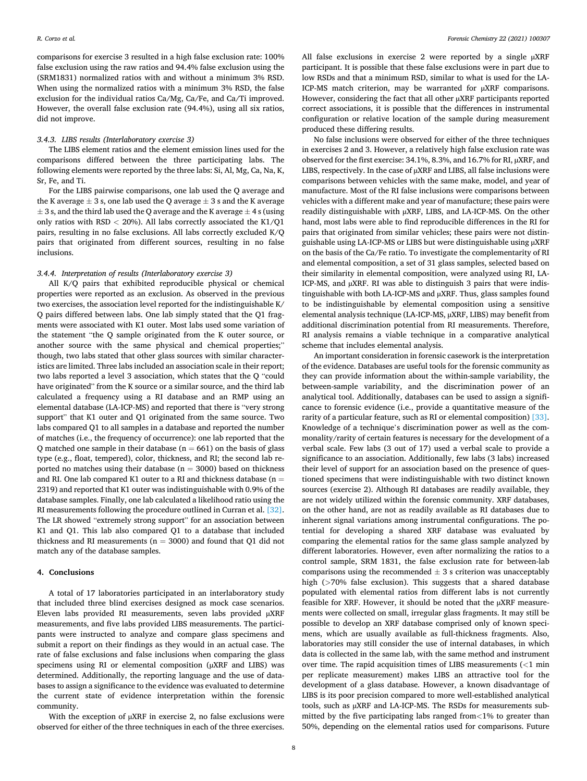comparisons for exercise 3 resulted in a high false exclusion rate: 100% false exclusion using the raw ratios and 94.4% false exclusion using the (SRM1831) normalized ratios with and without a minimum 3% RSD. When using the normalized ratios with a minimum 3% RSD, the false exclusion for the individual ratios Ca/Mg, Ca/Fe, and Ca/Ti improved. However, the overall false exclusion rate (94.4%), using all six ratios, did not improve.

#### *3.4.3. LIBS results (Interlaboratory exercise 3)*

The LIBS element ratios and the element emission lines used for the comparisons differed between the three participating labs. The following elements were reported by the three labs: Si, Al, Mg, Ca, Na, K, Sr, Fe, and Ti.

For the LIBS pairwise comparisons, one lab used the Q average and the K average  $\pm$  3 s, one lab used the Q average  $\pm$  3 s and the K average  $\pm$  3 s, and the third lab used the Q average and the K average  $\pm$  4 s (using only ratios with RSD *<* 20%). All labs correctly associated the K1/Q1 pairs, resulting in no false exclusions. All labs correctly excluded K/Q pairs that originated from different sources, resulting in no false inclusions.

#### *3.4.4. Interpretation of results (Interlaboratory exercise 3)*

All K/Q pairs that exhibited reproducible physical or chemical properties were reported as an exclusion. As observed in the previous two exercises, the association level reported for the indistinguishable K/ Q pairs differed between labs. One lab simply stated that the Q1 fragments were associated with K1 outer. Most labs used some variation of the statement "the Q sample originated from the K outer source, or another source with the same physical and chemical properties;" though, two labs stated that other glass sources with similar characteristics are limited. Three labs included an association scale in their report; two labs reported a level 3 association, which states that the Q "could have originated" from the K source or a similar source, and the third lab calculated a frequency using a RI database and an RMP using an elemental database (LA-ICP-MS) and reported that there is "very strong support" that K1 outer and Q1 originated from the same source. Two labs compared Q1 to all samples in a database and reported the number of matches (i.e., the frequency of occurrence): one lab reported that the Q matched one sample in their database ( $n = 661$ ) on the basis of glass type (e.g., float, tempered), color, thickness, and RI; the second lab reported no matches using their database ( $n = 3000$ ) based on thickness and RI. One lab compared K1 outer to a RI and thickness database ( $n =$ 2319) and reported that K1 outer was indistinguishable with 0.9% of the database samples. Finally, one lab calculated a likelihood ratio using the RI measurements following the procedure outlined in Curran et al. [\[32\]](#page-9-0). The LR showed "extremely strong support" for an association between K1 and Q1. This lab also compared Q1 to a database that included thickness and RI measurements ( $n = 3000$ ) and found that Q1 did not match any of the database samples.

# **4. Conclusions**

A total of 17 laboratories participated in an interlaboratory study that included three blind exercises designed as mock case scenarios. Eleven labs provided RI measurements, seven labs provided µXRF measurements, and five labs provided LIBS measurements. The participants were instructed to analyze and compare glass specimens and submit a report on their findings as they would in an actual case. The rate of false exclusions and false inclusions when comparing the glass specimens using RI or elemental composition ( $\mu$ XRF and LIBS) was determined. Additionally, the reporting language and the use of databases to assign a significance to the evidence was evaluated to determine the current state of evidence interpretation within the forensic community.

With the exception of  $\mu$ XRF in exercise 2, no false exclusions were observed for either of the three techniques in each of the three exercises.

All false exclusions in exercise 2 were reported by a single  $\mu$ XRF participant. It is possible that these false exclusions were in part due to low RSDs and that a minimum RSD, similar to what is used for the LA-ICP-MS match criterion, may be warranted for µXRF comparisons. However, considering the fact that all other  $\mu$ XRF participants reported correct associations, it is possible that the differences in instrumental configuration or relative location of the sample during measurement produced these differing results.

No false inclusions were observed for either of the three techniques in exercises 2 and 3. However, a relatively high false exclusion rate was observed for the first exercise: 34.1%, 8.3%, and 16.7% for RI, µXRF, and LIBS, respectively. In the case of  $\mu$ XRF and LIBS, all false inclusions were comparisons between vehicles with the same make, model, and year of manufacture. Most of the RI false inclusions were comparisons between vehicles with a different make and year of manufacture; these pairs were readily distinguishable with µXRF, LIBS, and LA-ICP-MS. On the other hand, most labs were able to find reproducible differences in the RI for pairs that originated from similar vehicles; these pairs were not distinguishable using LA-ICP-MS or LIBS but were distinguishable using µXRF on the basis of the Ca/Fe ratio. To investigate the complementarity of RI and elemental composition, a set of 31 glass samples, selected based on their similarity in elemental composition, were analyzed using RI, LA-ICP-MS, and µXRF. RI was able to distinguish 3 pairs that were indistinguishable with both LA-ICP-MS and µXRF. Thus, glass samples found to be indistinguishable by elemental composition using a sensitive elemental analysis technique (LA-ICP-MS, µXRF, LIBS) may benefit from additional discrimination potential from RI measurements. Therefore, RI analysis remains a viable technique in a comparative analytical scheme that includes elemental analysis.

An important consideration in forensic casework is the interpretation of the evidence. Databases are useful tools for the forensic community as they can provide information about the within-sample variability, the between-sample variability, and the discrimination power of an analytical tool. Additionally, databases can be used to assign a significance to forensic evidence (i.e., provide a quantitative measure of the rarity of a particular feature, such as RI or elemental composition) [\[33\]](#page-9-0). Knowledge of a technique's discrimination power as well as the commonality/rarity of certain features is necessary for the development of a verbal scale. Few labs (3 out of 17) used a verbal scale to provide a significance to an association. Additionally, few labs (3 labs) increased their level of support for an association based on the presence of questioned specimens that were indistinguishable with two distinct known sources (exercise 2). Although RI databases are readily available, they are not widely utilized within the forensic community. XRF databases, on the other hand, are not as readily available as RI databases due to inherent signal variations among instrumental configurations. The potential for developing a shared XRF database was evaluated by comparing the elemental ratios for the same glass sample analyzed by different laboratories. However, even after normalizing the ratios to a control sample, SRM 1831, the false exclusion rate for between-lab comparisons using the recommended  $\pm$  3 s criterion was unacceptably high (*>*70% false exclusion). This suggests that a shared database populated with elemental ratios from different labs is not currently feasible for XRF. However, it should be noted that the µXRF measurements were collected on small, irregular glass fragments. It may still be possible to develop an XRF database comprised only of known specimens, which are usually available as full-thickness fragments. Also, laboratories may still consider the use of internal databases, in which data is collected in the same lab, with the same method and instrument over time. The rapid acquisition times of LIBS measurements (*<*1 min per replicate measurement) makes LIBS an attractive tool for the development of a glass database. However, a known disadvantage of LIBS is its poor precision compared to more well-established analytical tools, such as µXRF and LA-ICP-MS. The RSDs for measurements submitted by the five participating labs ranged from*<*1% to greater than 50%, depending on the elemental ratios used for comparisons. Future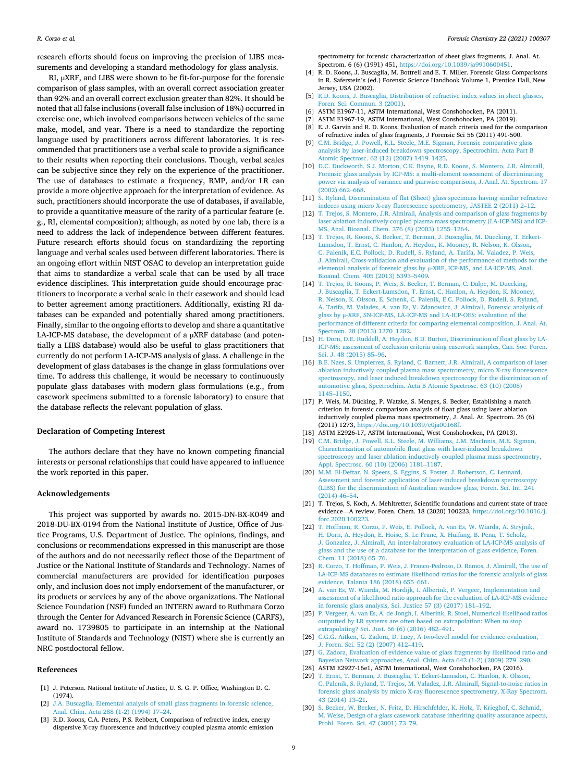<span id="page-8-0"></span>research efforts should focus on improving the precision of LIBS measurements and developing a standard methodology for glass analysis.

RI, µXRF, and LIBS were shown to be fit-for-purpose for the forensic comparison of glass samples, with an overall correct association greater than 92% and an overall correct exclusion greater than 82%. It should be noted that all false inclusions (overall false inclusion of 18%) occurred in exercise one, which involved comparisons between vehicles of the same make, model, and year. There is a need to standardize the reporting language used by practitioners across different laboratories. It is recommended that practitioners use a verbal scale to provide a significance to their results when reporting their conclusions. Though, verbal scales can be subjective since they rely on the experience of the practitioner. The use of databases to estimate a frequency, RMP, and/or LR can provide a more objective approach for the interpretation of evidence. As such, practitioners should incorporate the use of databases, if available, to provide a quantitative measure of the rarity of a particular feature (e. g., RI, elemental composition); although, as noted by one lab, there is a need to address the lack of independence between different features. Future research efforts should focus on standardizing the reporting language and verbal scales used between different laboratories. There is an ongoing effort within NIST OSAC to develop an interpretation guide that aims to standardize a verbal scale that can be used by all trace evidence disciplines. This interpretation guide should encourage practitioners to incorporate a verbal scale in their casework and should lead to better agreement among practitioners. Additionally, existing RI databases can be expanded and potentially shared among practitioners. Finally, similar to the ongoing efforts to develop and share a quantitative LA-ICP-MS database, the development of a µXRF database (and potentially a LIBS database) would also be useful to glass practitioners that currently do not perform LA-ICP-MS analysis of glass. A challenge in the development of glass databases is the change in glass formulations over time. To address this challenge, it would be necessary to continuously populate glass databases with modern glass formulations (e.g., from casework specimens submitted to a forensic laboratory) to ensure that the database reflects the relevant population of glass.

# **Declaration of Competing Interest**

The authors declare that they have no known competing financial interests or personal relationships that could have appeared to influence the work reported in this paper.

#### **Acknowledgements**

This project was supported by awards no. 2015-DN-BX-K049 and 2018-DU-BX-0194 from the National Institute of Justice, Office of Justice Programs, U.S. Department of Justice. The opinions, findings, and conclusions or recommendations expressed in this manuscript are those of the authors and do not necessarily reflect those of the Department of Justice or the National Institute of Standards and Technology. Names of commercial manufacturers are provided for identification purposes only, and inclusion does not imply endorsement of the manufacturer, or its products or services by any of the above organizations. The National Science Foundation (NSF) funded an INTERN award to Ruthmara Corzo through the Center for Advanced Research in Forensic Science (CARFS), award no. 1739805 to participate in an internship at the National Institute of Standards and Technology (NIST) where she is currently an NRC postdoctoral fellow.

#### **References**

- [1] J. Peterson. National Institute of Justice, U. S. G. P. Office, Washington D. C. (1974).
- [2] [J.A. Buscaglia, Elemental analysis of small glass fragments in forensic science,](http://refhub.elsevier.com/S2468-1709(21)00003-5/h0010) [Anal. Chim. Acta 288 \(1-2\) \(1994\) 17](http://refhub.elsevier.com/S2468-1709(21)00003-5/h0010)–24.
- [3] R.D. Koons, C.A. Peters, P.S. Rebbert, Comparison of refractive index, energy dispersive X-ray fluorescence and inductively coupled plasma atomic emission

spectrometry for forensic characterization of sheet glass fragments, J. Anal. At. Spectrom. 6 (6) (1991) 451, <https://doi.org/10.1039/ja9910600451>.

- [4] R. D. Koons, J. Buscaglia, M. Bottrell and E. T. Miller. Forensic Glass Comparisons in R. Saferstein's (ed.) Forensic Science Handbook Volume 1, Prentice Hall, New Jersey, USA (2002).
- [5] [R.D. Koons, J. Buscaglia, Distribution of refractive index values in sheet glasses,](http://refhub.elsevier.com/S2468-1709(21)00003-5/h0025)  [Foren. Sci. Commun. 3 \(2001\)](http://refhub.elsevier.com/S2468-1709(21)00003-5/h0025).
- [6] ASTM E1967-11, ASTM International, West Conshohocken, PA (2011).
- [7] ASTM E1967-19, ASTM International, West Conshohocken, PA (2019). [8] E. J. Garvin and R. D. Koons. Evaluation of match criteria used for the comparison
- of refractive index of glass fragments, J Forensic Sci 56 (2011) 491-500. [9] [C.M. Bridge, J. Powell, K.L. Steele, M.E. Sigman, Forensic comparative glass](http://refhub.elsevier.com/S2468-1709(21)00003-5/h0045)
- [analysis by laser-induced breakdown spectroscopy, Spectrochim. Acta Part B](http://refhub.elsevier.com/S2468-1709(21)00003-5/h0045)  [Atomic Spectrosc. 62 \(12\) \(2007\) 1419](http://refhub.elsevier.com/S2468-1709(21)00003-5/h0045)–1425.
- [10] [D.C. Duckworth, S.J. Morton, C.K. Bayne, R.D. Koons, S. Montero, J.R. Almirall,](http://refhub.elsevier.com/S2468-1709(21)00003-5/h0050) [Forensic glass analysis by ICP-MS: a multi-element assessment of discriminating](http://refhub.elsevier.com/S2468-1709(21)00003-5/h0050) [power via analysis of variance and pairwise comparisons, J. Anal. At. Spectrom. 17](http://refhub.elsevier.com/S2468-1709(21)00003-5/h0050)  [\(2002\) 662](http://refhub.elsevier.com/S2468-1709(21)00003-5/h0050)–668.
- [11] [S. Ryland, Discrimination of flat \(Sheet\) glass specimens having similar refractive](http://refhub.elsevier.com/S2468-1709(21)00003-5/h0055)  [indeces using micro X-ray fluorescence spectrometry, JASTEE 2 \(2011\) 2](http://refhub.elsevier.com/S2468-1709(21)00003-5/h0055)–12.
- [12] [T. Trejos, S. Montero, J.R. Almirall, Analysis and comparison of glass fragments by](http://refhub.elsevier.com/S2468-1709(21)00003-5/h0060)  [laser ablation inductively coupled plasma mass spectrometry \(LA-ICP-MS\) and ICP-](http://refhub.elsevier.com/S2468-1709(21)00003-5/h0060)[MS, Anal. Bioanal. Chem. 376 \(8\) \(2003\) 1255](http://refhub.elsevier.com/S2468-1709(21)00003-5/h0060)–1264.
- [13] [T. Trejos, R. Koons, S. Becker, T. Berman, J. Buscaglia, M. Duecking, T. Eckert-](http://refhub.elsevier.com/S2468-1709(21)00003-5/h0065)[Lumsdon, T. Ernst, C. Hanlon, A. Heydon, K. Mooney, R. Nelson, K. Olsson,](http://refhub.elsevier.com/S2468-1709(21)00003-5/h0065) [C. Palenik, E.C. Pollock, D. Rudell, S. Ryland, A. Tarifa, M. Valadez, P. Weis,](http://refhub.elsevier.com/S2468-1709(21)00003-5/h0065) [J. Almirall, Cross-validation and evaluation of the performance of methods for the](http://refhub.elsevier.com/S2468-1709(21)00003-5/h0065)  [elemental analysis of forensic glass by](http://refhub.elsevier.com/S2468-1709(21)00003-5/h0065) µ-XRF, ICP-MS, and LA-ICP-MS, Anal. [Bioanal. Chem. 405 \(2013\) 5393](http://refhub.elsevier.com/S2468-1709(21)00003-5/h0065)–5409.
- [14] [T. Trejos, R. Koons, P. Weis, S. Becker, T. Berman, C. Dalpe, M. Duecking,](http://refhub.elsevier.com/S2468-1709(21)00003-5/h0070)  [J. Buscaglia, T. Eckert-Lumsdon, T. Ernst, C. Hanlon, A. Heydon, K. Mooney,](http://refhub.elsevier.com/S2468-1709(21)00003-5/h0070)  [R. Nelson, K. Olsson, E. Schenk, C. Palenik, E.C. Pollock, D. Rudell, S. Ryland,](http://refhub.elsevier.com/S2468-1709(21)00003-5/h0070)  [A. Tarifa, M. Valadez, A. van Es, V. Zdanowicz, J. Almirall, Forensic analysis of](http://refhub.elsevier.com/S2468-1709(21)00003-5/h0070)  glass by μ[-XRF, SN-ICP-MS, LA-ICP-MS and LA-ICP-OES: evaluation of the](http://refhub.elsevier.com/S2468-1709(21)00003-5/h0070) [performance of different criteria for comparing elemental composition, J. Anal. At.](http://refhub.elsevier.com/S2468-1709(21)00003-5/h0070)  [Spectrom. 28 \(2013\) 1270](http://refhub.elsevier.com/S2468-1709(21)00003-5/h0070)–1282.
- [15] [H. Dorn, D.E. Ruddell, A. Heydon, B.D. Burton, Discrimination of float glass by LA-](http://refhub.elsevier.com/S2468-1709(21)00003-5/h0075)[ICP-MS: assessment of exclusion criteria using casework samples, Can. Soc. Foren.](http://refhub.elsevier.com/S2468-1709(21)00003-5/h0075)  [Sci. J. 48 \(2015\) 85](http://refhub.elsevier.com/S2468-1709(21)00003-5/h0075)–96.
- [16] [B.E. Naes, S. Umpierrez, S. Ryland, C. Barnett, J.R. Almirall, A comparison of laser](http://refhub.elsevier.com/S2468-1709(21)00003-5/h0080)  [ablation inductively coupled plasma mass spectrometry, micro X-ray fluorescence](http://refhub.elsevier.com/S2468-1709(21)00003-5/h0080)  [spectroscopy, and laser induced breakdown spectroscopy for the discrimination of](http://refhub.elsevier.com/S2468-1709(21)00003-5/h0080)  [automotive glass, Spectrochim. Acta B Atomic Spectrosc. 63 \(10\) \(2008\)](http://refhub.elsevier.com/S2468-1709(21)00003-5/h0080) [1145](http://refhub.elsevier.com/S2468-1709(21)00003-5/h0080)–1150.
- [17] P. Weis, M. Dücking, P. Watzke, S. Menges, S. Becker, Establishing a match criterion in forensic comparison analysis of float glass using laser ablation inductively coupled plasma mass spectrometry, J. Anal. At. Spectrom. 26 (6) (2011) 1273, <https://doi.org/10.1039/c0ja00168f>.
- [18] ASTM E2926-17, ASTM International, West Conshohocken, PA (2013).
- [19] [C.M. Bridge, J. Powell, K.L. Steele, M. Williams, J.M. MacInnis, M.E. Sigman,](http://refhub.elsevier.com/S2468-1709(21)00003-5/h0095) [Characterization of automobile float glass with laser-induced breakdown](http://refhub.elsevier.com/S2468-1709(21)00003-5/h0095)  [spectroscopy and laser ablation inductively coupled plasma mass spectrometry,](http://refhub.elsevier.com/S2468-1709(21)00003-5/h0095) [Appl. Spectrosc. 60 \(10\) \(2006\) 1181](http://refhub.elsevier.com/S2468-1709(21)00003-5/h0095)–1187.
- [20] [M.M. El-Deftar, N. Speers, S. Eggins, S. Foster, J. Robertson, C. Lennard,](http://refhub.elsevier.com/S2468-1709(21)00003-5/h0100)  [Assessment and forensic application of laser-induced breakdown spectroscopy](http://refhub.elsevier.com/S2468-1709(21)00003-5/h0100) [\(LIBS\) for the discrimination of Australian window glass, Foren. Sci. Int. 241](http://refhub.elsevier.com/S2468-1709(21)00003-5/h0100)  [\(2014\) 46](http://refhub.elsevier.com/S2468-1709(21)00003-5/h0100)–54.
- [21] T. Trejos, S. Koch, A. Mehltretter, Scientific foundations and current state of trace evidence—A review, Foren. Chem. 18 (2020) 100223, [https://doi.org/10.1016/j.](https://doi.org/10.1016/j.forc.2020.100223) [forc.2020.100223.](https://doi.org/10.1016/j.forc.2020.100223)
- [22] [T. Hoffman, R. Corzo, P. Weis, E. Pollock, A. van Es, W. Wiarda, A. Stryjnik,](http://refhub.elsevier.com/S2468-1709(21)00003-5/h0110) [H. Dorn, A. Heydon, E. Hoise, S. Le Franc, X. Huifang, B. Pena, T. Scholz,](http://refhub.elsevier.com/S2468-1709(21)00003-5/h0110) [J. Gonzalez, J. Almirall, An inter-laboratory evaluation of LA-ICP-MS analysis of](http://refhub.elsevier.com/S2468-1709(21)00003-5/h0110)  [glass and the use of a database for the interpretation of glass evidence, Foren.](http://refhub.elsevier.com/S2468-1709(21)00003-5/h0110) [Chem. 11 \(2018\) 65](http://refhub.elsevier.com/S2468-1709(21)00003-5/h0110)–76.
- [23] [R. Corzo, T. Hoffman, P. Weis, J. Franco-Pedroso, D. Ramos, J. Almirall, The use of](http://refhub.elsevier.com/S2468-1709(21)00003-5/h0115)  [LA-ICP-MS databases to estimate likelihood ratios for the forensic analysis of glass](http://refhub.elsevier.com/S2468-1709(21)00003-5/h0115)  [evidence, Talanta 186 \(2018\) 655](http://refhub.elsevier.com/S2468-1709(21)00003-5/h0115)–661.
- [24] [A. van Es, W. Wiarda, M. Hordijk, I. Alberink, P. Vergeer, Implementation and](http://refhub.elsevier.com/S2468-1709(21)00003-5/h0120) [assessment of a likelihood ratio approach for the evaluation of LA-ICP-MS evidence](http://refhub.elsevier.com/S2468-1709(21)00003-5/h0120)  [in forensic glass analysis, Sci. Justice 57 \(3\) \(2017\) 181](http://refhub.elsevier.com/S2468-1709(21)00003-5/h0120)–192.
- [25] [P. Vergeer, A. van Es, A. de Jongh, I. Alberink, R. Stoel, Numerical likelihood ratios](http://refhub.elsevier.com/S2468-1709(21)00003-5/h0125)  [outputted by LR systems are often based on extrapolation: When to stop](http://refhub.elsevier.com/S2468-1709(21)00003-5/h0125)  [extrapolating? Sci. Just. 56 \(6\) \(2016\) 482](http://refhub.elsevier.com/S2468-1709(21)00003-5/h0125)–491.
- [26] [C.G.G. Aitken, G. Zadora, D. Lucy, A two-level model for evidence evaluation,](http://refhub.elsevier.com/S2468-1709(21)00003-5/h0130) [J. Foren. Sci. 52 \(2\) \(2007\) 412](http://refhub.elsevier.com/S2468-1709(21)00003-5/h0130)–419.
- [27] [G. Zadora, Evaluation of evidence value of glass fragments by likelihood ratio and](http://refhub.elsevier.com/S2468-1709(21)00003-5/h0135)  [Bayesian Network approaches, Anal. Chim. Acta 642 \(1-2\) \(2009\) 279](http://refhub.elsevier.com/S2468-1709(21)00003-5/h0135)–290.
- [28] ASTM E2927-16e1, ASTM International, West Conshohocken, PA (2016).
- [29] [T. Ernst, T. Berman, J. Buscaglia, T. Eckert-Lumsdon, C. Hanlon, K. Olsson,](http://refhub.elsevier.com/S2468-1709(21)00003-5/h0145) [C. Palenik, S. Ryland, T. Trejos, M. Valadez, J.R. Almirall, Signal-to-noise ratios in](http://refhub.elsevier.com/S2468-1709(21)00003-5/h0145)  [forensic glass analysis by micro X-ray fluorescence spectrometry, X-Ray Spectrom.](http://refhub.elsevier.com/S2468-1709(21)00003-5/h0145)  [43 \(2014\) 13](http://refhub.elsevier.com/S2468-1709(21)00003-5/h0145)–21.
- [30] [S. Becker, W. Becker, N. Fritz, D. Hirschfelder, K. Holz, T. Krieghof, C. Schmid,](http://refhub.elsevier.com/S2468-1709(21)00003-5/h0150)  [M. Weise, Design of a glass casework database inheriting quality assurance aspects,](http://refhub.elsevier.com/S2468-1709(21)00003-5/h0150)  [Probl. Foren. Sci. 47 \(2001\) 73](http://refhub.elsevier.com/S2468-1709(21)00003-5/h0150)–79.